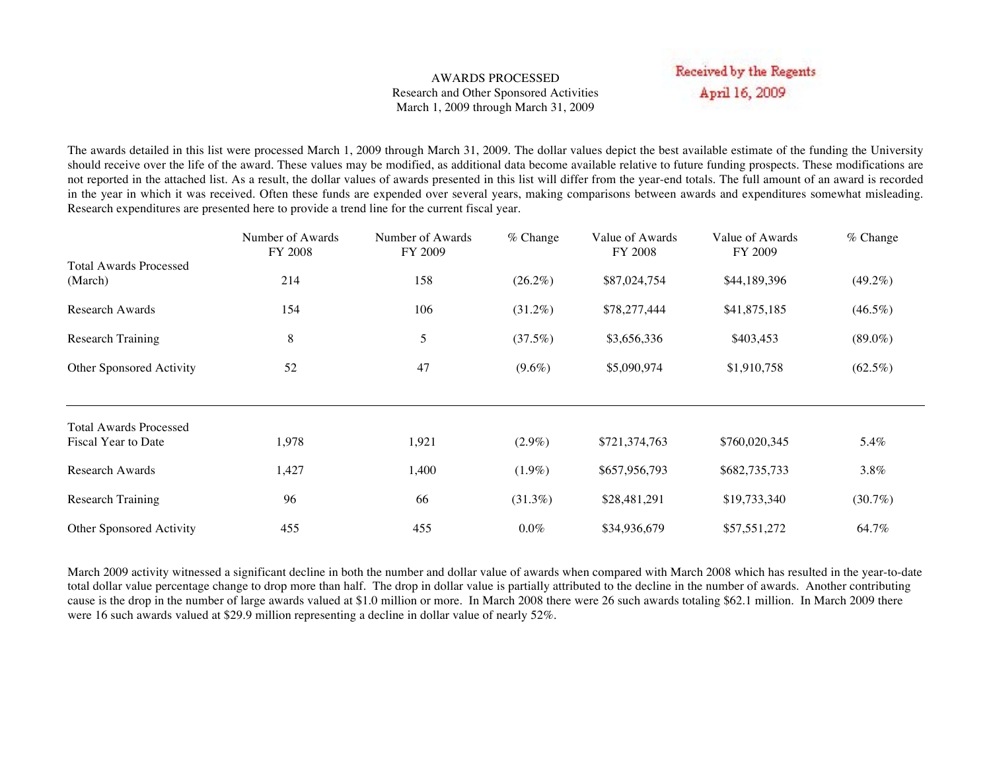#### AWARDS PROCESSED Research and Other Sponsored Activities March 1, 2009 through March 31, 2009

# Received by the Regents April 16, 2009

The awards detailed in this list were processed March 1, 2009 through March 31, 2009. The dollar values depict the best available estimate of the funding the University should receive over the life of the award. These values may be modified, as additional data become available relative to future funding prospects. These modifications are not reported in the attached list. As a result, the dollar values of awards presented in this list will differ from the year-end totals. The full amount of an award is recorded in the year in which it was received. Often these funds are expended over several years, making comparisons between awards and expenditures somewhat misleading. Research expenditures are presented here to provide a trend line for the current fiscal year.

|                                          | Number of Awards<br>FY 2008 | Number of Awards<br>FY 2009 | $%$ Change | Value of Awards<br><b>FY 2008</b> | Value of Awards<br>FY 2009 | $%$ Change |
|------------------------------------------|-----------------------------|-----------------------------|------------|-----------------------------------|----------------------------|------------|
| <b>Total Awards Processed</b><br>(March) | 214                         | 158                         | $(26.2\%)$ | \$87,024,754                      | \$44,189,396               | $(49.2\%)$ |
| <b>Research Awards</b>                   | 154                         | 106                         | $(31.2\%)$ | \$78,277,444                      | \$41,875,185               | $(46.5\%)$ |
| <b>Research Training</b>                 | 8                           | 5                           | (37.5%)    | \$3,656,336                       | \$403,453                  | $(89.0\%)$ |
| Other Sponsored Activity                 | 52                          | 47                          | $(9.6\%)$  | \$5,090,974                       | \$1,910,758                | $(62.5\%)$ |
| <b>Total Awards Processed</b>            |                             |                             |            |                                   |                            |            |
| Fiscal Year to Date                      | 1,978                       | 1,921                       | $(2.9\%)$  | \$721,374,763                     | \$760,020,345              | 5.4%       |
| <b>Research Awards</b>                   | 1,427                       | 1,400                       | $(1.9\%)$  | \$657,956,793                     | \$682,735,733              | $3.8\%$    |
| <b>Research Training</b>                 | 96                          | 66                          | $(31.3\%)$ | \$28,481,291                      | \$19,733,340               | $(30.7\%)$ |
| Other Sponsored Activity                 | 455                         | 455                         | $0.0\%$    | \$34,936,679                      | \$57,551,272               | 64.7%      |

March 2009 activity witnessed a significant decline in both the number and dollar value of awards when compared with March 2008 which has resulted in the year-to-date total dollar value percentage change to drop more than half. The drop in dollar value is partially attributed to the decline in the number of awards. Another contributing cause is the drop in the number of large awards valued at \$1.0 million or more. In March 2008 there were 26 such awards totaling \$62.1 million. In March 2009 there were 16 such awards valued at \$29.9 million representing a decline in dollar value of nearly 52%.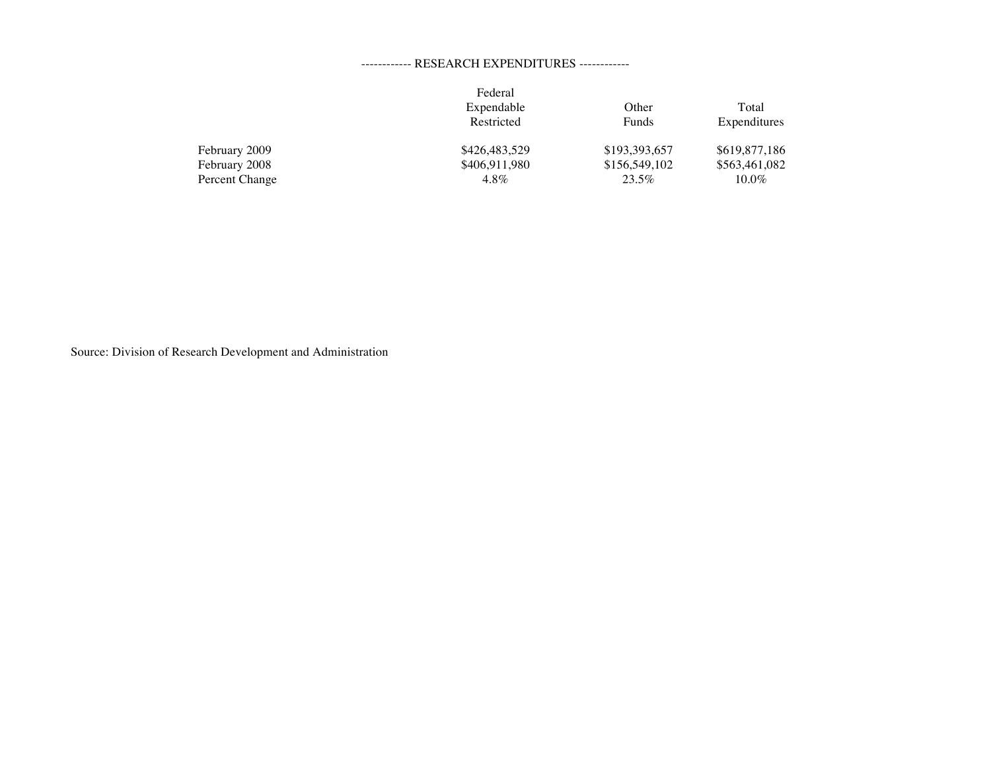### ------------ RESEARCH EXPENDITURES ------------

|                | Federal       |               |               |
|----------------|---------------|---------------|---------------|
|                | Expendable    | Other         | Total         |
|                | Restricted    | Funds         | Expenditures  |
| February 2009  | \$426,483,529 | \$193,393,657 | \$619,877,186 |
| February 2008  | \$406,911,980 | \$156,549,102 | \$563,461,082 |
| Percent Change | $4.8\%$       | 23.5%         | $10.0\%$      |

Source: Division of Research Development and Administration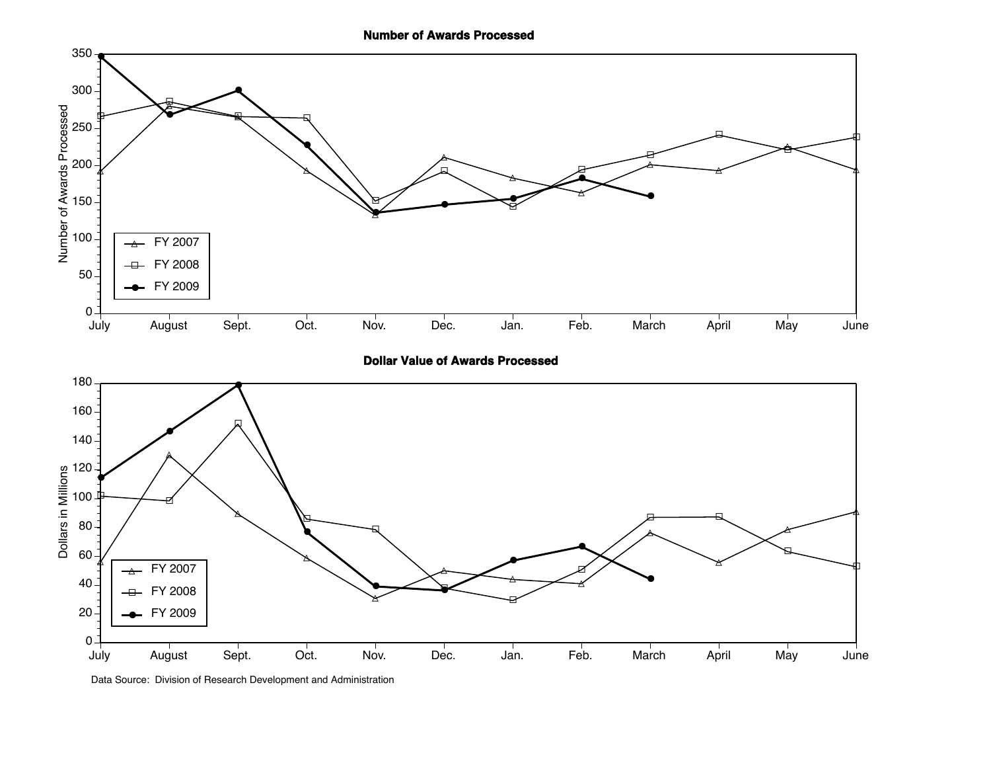**Number of Awards Processed**



**Dollar Value of Awards Processed**



Data Source: Division of Research Development and Administration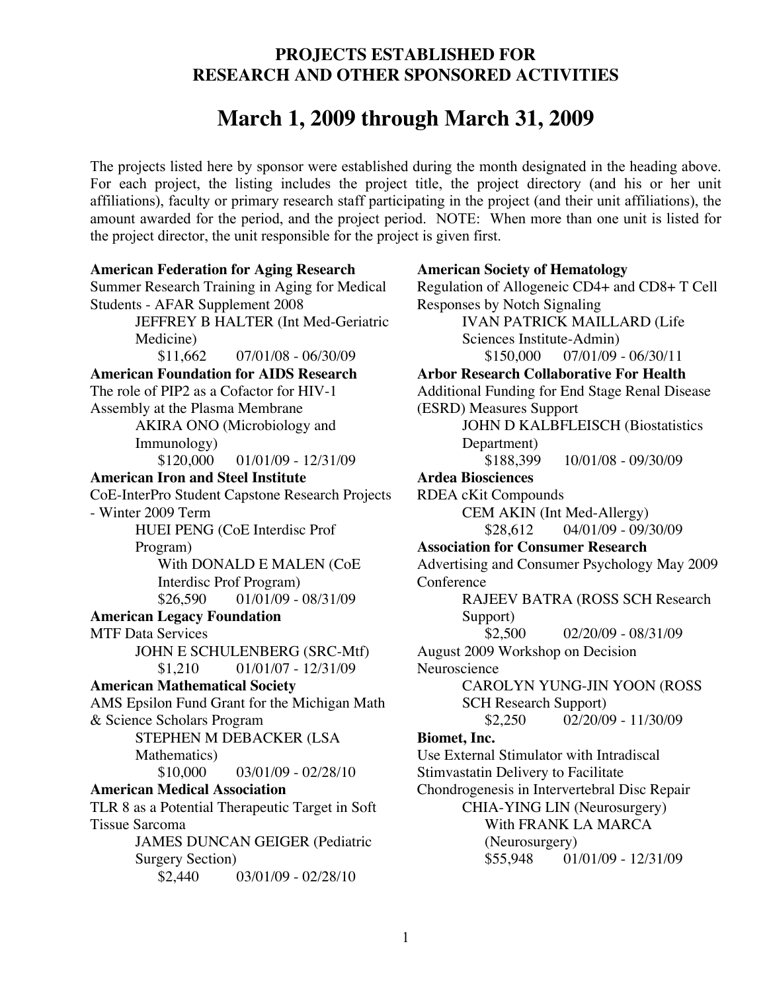# **PROJECTS ESTABLISHED FOR RESEARCH AND OTHER SPONSORED ACTIVITIES**

# **March 1, 2009 through March 31, 2009**

The projects listed here by sponsor were established during the month designated in the heading above. For each project, the listing includes the project title, the project directory (and his or her unit affiliations), faculty or primary research staff participating in the project (and their unit affiliations), the amount awarded for the period, and the project period. NOTE: When more than one unit is listed for the project director, the unit responsible for the project is given first.

**American Federation for Aging Research** Summer Research Training in Aging for Medical Students - AFAR Supplement 2008 JEFFREY B HALTER (Int Med-Geriatric Medicine)  $$11,662$  07/01/08 - 06/30/09 **American Foundation for AIDS Research** The role of PIP2 as a Cofactor for HIV-1 Assembly at the Plasma Membrane AKIRA ONO (Microbiology and Immunology) \$120,000 01/01/09 - 12/31/09 **American Iron and Steel Institute** CoE-InterPro Student Capstone Research Projects - Winter 2009 Term HUEI PENG (CoE Interdisc Prof Program) With DONALD E MALEN (CoE Interdisc Prof Program)  $$26,590$  01/01/09 - 08/31/09 **American Legacy Foundation** MTF Data Services JOHN E SCHULENBERG (SRC-Mtf) \$1,210 01/01/07 - 12/31/09 **American Mathematical Society** AMS Epsilon Fund Grant for the Michigan Math & Science Scholars Program STEPHEN M DEBACKER (LSA Mathematics)  $$10,000$  03/01/09 - 02/28/10 **American Medical Association** TLR 8 as a Potential Therapeutic Target in Soft Tissue Sarcoma JAMES DUNCAN GEIGER (Pediatric Surgery Section)  $$2,440$  03/01/09 - 02/28/10 **American Society of Hematology** Regulation of Allogeneic CD4+ and CD8+ T Cell Responses by Notch Signaling IVAN PATRICK MAILLARD (Life Sciences Institute-Admin) \$150,000 07/01/09 - 06/30/11 **Arbor Research Collaborative For Health** Additional Funding for End Stage Renal Disease (ESRD) Measures Support JOHN D KALBFLEISCH (Biostatistics Department) \$188,399 10/01/08 - 09/30/09 **Ardea Biosciences** RDEA cKit Compounds CEM AKIN (Int Med-Allergy) \$28,612 04/01/09 - 09/30/09 **Association for Consumer Research** Advertising and Consumer Psychology May 2009 **Conference** RAJEEV BATRA (ROSS SCH Research Support) \$2,500 02/20/09 - 08/31/09 August 2009 Workshop on Decision Neuroscience CAROLYN YUNG-JIN YOON (ROSS SCH Research Support) \$2,250 02/20/09 - 11/30/09 **Biomet, Inc.** Use External Stimulator with Intradiscal Stimvastatin Delivery to Facilitate Chondrogenesis in Intervertebral Disc Repair CHIA-YING LIN (Neurosurgery) With FRANK LA MARCA (Neurosurgery) \$55,948 01/01/09 - 12/31/09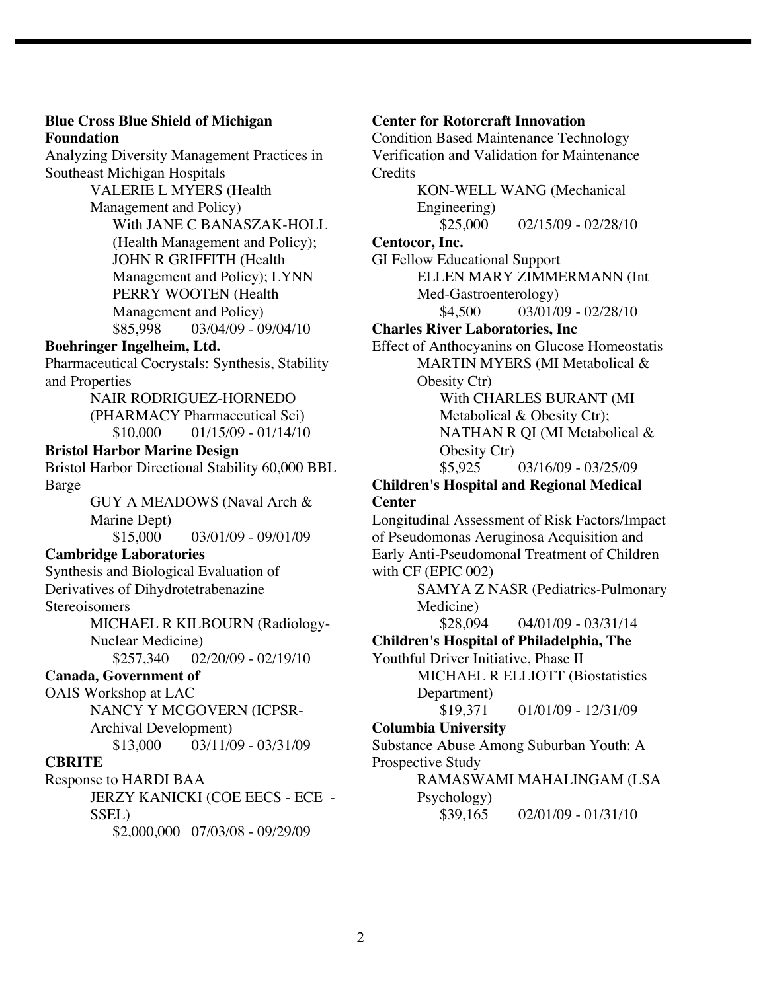**Foundation** Analyzing Diversity Management Practices in Southeast Michigan Hospitals VALERIE L MYERS (Health Management and Policy) With JANE C BANASZAK-HOLL (Health Management and Policy); JOHN R GRIFFITH (Health Management and Policy); LYNN PERRY WOOTEN (Health Management and Policy) \$85,998 03/04/09 - 09/04/10 **Boehringer Ingelheim, Ltd.** Pharmaceutical Cocrystals: Synthesis, Stability and Properties NAIR RODRIGUEZ-HORNEDO (PHARMACY Pharmaceutical Sci)  $$10,000$  01/15/09 - 01/14/10 **Bristol Harbor Marine Design** Bristol Harbor Directional Stability 60,000 BBL Barge GUY A MEADOWS (Naval Arch & Marine Dept)<br>\$15,000 03/01/09 - 09/01/09 **Cambridge Laboratories** Synthesis and Biological Evaluation of Derivatives of Dihydrotetrabenazine **Stereoisomers** MICHAEL R KILBOURN (Radiology-Nuclear Medicine) \$257,340 02/20/09 - 02/19/10 **Canada, Government of** OAIS Workshop at LAC NANCY Y MCGOVERN (ICPSR-Archival Development)  $$13,000$  03/11/09 - 03/31/09 **CBRITE** Response to HARDI BAA JERZY KANICKI (COE EECS - ECE -

**Blue Cross Blue Shield of Michigan** 

# SSEL)

\$2,000,000 07/03/08 - 09/29/09

# **Center for Rotorcraft Innovation**

Condition Based Maintenance Technology Verification and Validation for Maintenance **Credits** 

KON-WELL WANG (Mechanical Engineering)  $$25,000$  02/15/09 - 02/28/10 **Centocor, Inc.**

GI Fellow Educational Support ELLEN MARY ZIMMERMANN (Int Med-Gastroenterology)  $$4,500$  03/01/09 - 02/28/10

# **Charles River Laboratories, Inc**

Effect of Anthocyanins on Glucose Homeostatis MARTIN MYERS (MI Metabolical &

Obesity Ctr)

With CHARLES BURANT (MI Metabolical & Obesity Ctr); NATHAN R QI (MI Metabolical & Obesity Ctr)

\$5,925 03/16/09 - 03/25/09

# **Children's Hospital and Regional Medical Center**

Longitudinal Assessment of Risk Factors/Impact of Pseudomonas Aeruginosa Acquisition and Early Anti-Pseudomonal Treatment of Children with CF (EPIC 002)

SAMYA Z NASR (Pediatrics-Pulmonary Medicine)

 $$28,094$  04/01/09 - 03/31/14

# **Children's Hospital of Philadelphia, The**

Youthful Driver Initiative, Phase II

MICHAEL R ELLIOTT (Biostatistics Department)

 $$19,371$  01/01/09 - 12/31/09

# **Columbia University**

Substance Abuse Among Suburban Youth: A Prospective Study

RAMASWAMI MAHALINGAM (LSA Psychology)

 $$39,165$  02/01/09 - 01/31/10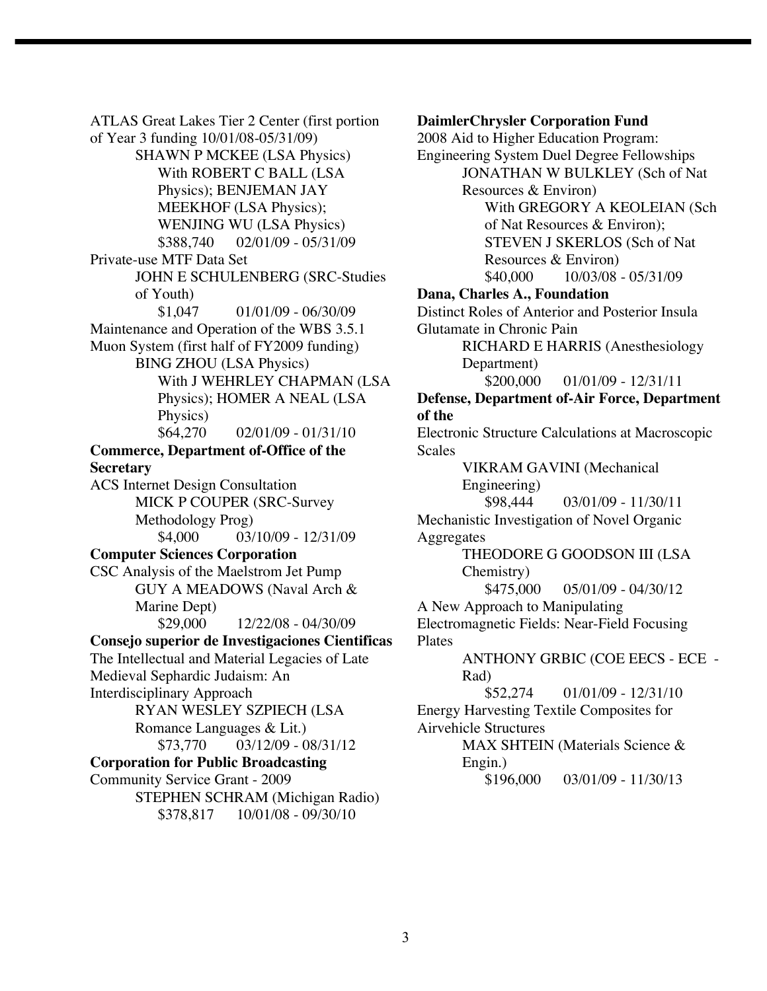ATLAS Great Lakes Tier 2 Center (first portion of Year 3 funding 10/01/08-05/31/09) SHAWN P MCKEE (LSA Physics) With ROBERT C BALL (LSA Physics); BENJEMAN JAY MEEKHOF (LSA Physics); WENJING WU (LSA Physics) \$388,740 02/01/09 - 05/31/09 Private-use MTF Data Set JOHN E SCHULENBERG (SRC-Studies of Youth) \$1,047 01/01/09 - 06/30/09 Maintenance and Operation of the WBS 3.5.1 Muon System (first half of FY2009 funding) BING ZHOU (LSA Physics) With J WEHRLEY CHAPMAN (LSA Physics); HOMER A NEAL (LSA Physics) \$64,270 02/01/09 - 01/31/10 **Commerce, Department of-Office of the Secretary** ACS Internet Design Consultation MICK P COUPER (SRC-Survey Methodology Prog)  $$4,000$  03/10/09 - 12/31/09 **Computer Sciences Corporation** CSC Analysis of the Maelstrom Jet Pump GUY A MEADOWS (Naval Arch & Marine Dept) \$29,000 12/22/08 - 04/30/09 **Consejo superior de Investigaciones Cientificas** The Intellectual and Material Legacies of Late Medieval Sephardic Judaism: An Interdisciplinary Approach RYAN WESLEY SZPIECH (LSA Romance Languages & Lit.) \$73,770 03/12/09 - 08/31/12 **Corporation for Public Broadcasting** Community Service Grant - 2009 STEPHEN SCHRAM (Michigan Radio) \$378,817 10/01/08 - 09/30/10

**DaimlerChrysler Corporation Fund** 2008 Aid to Higher Education Program: Engineering System Duel Degree Fellowships JONATHAN W BULKLEY (Sch of Nat Resources & Environ) With GREGORY A KEOLEIAN (Sch of Nat Resources & Environ); STEVEN J SKERLOS (Sch of Nat Resources & Environ) \$40,000 10/03/08 - 05/31/09 **Dana, Charles A., Foundation** Distinct Roles of Anterior and Posterior Insula Glutamate in Chronic Pain RICHARD E HARRIS (Anesthesiology Department)  $$200,000$  01/01/09 - 12/31/11 **Defense, Department of-Air Force, Department of the** Electronic Structure Calculations at Macroscopic **Scales** VIKRAM GAVINI (Mechanical Engineering) \$98,444 03/01/09 - 11/30/11 Mechanistic Investigation of Novel Organic **Aggregates** THEODORE G GOODSON III (LSA Chemistry)  $$475,000$  05/01/09 - 04/30/12 A New Approach to Manipulating Electromagnetic Fields: Near-Field Focusing Plates ANTHONY GRBIC (COE EECS - ECE - Rad) \$52,274 01/01/09 - 12/31/10 Energy Harvesting Textile Composites for Airvehicle Structures MAX SHTEIN (Materials Science & Engin.) \$196,000 03/01/09 - 11/30/13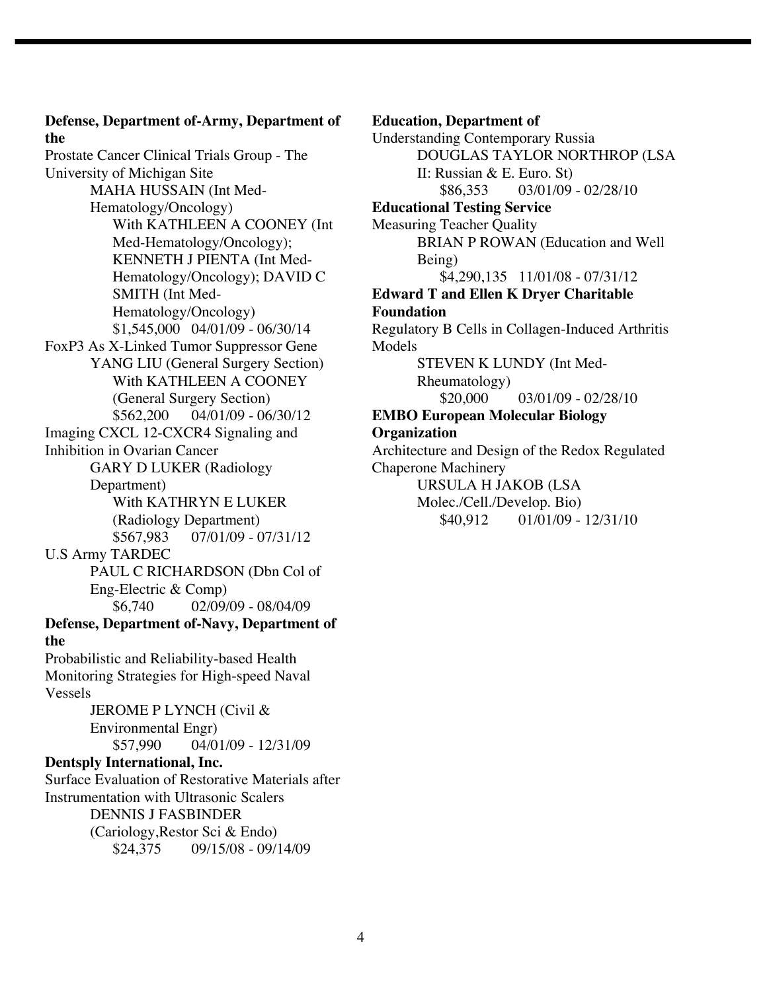**Defense, Department of-Army, Department of the** Prostate Cancer Clinical Trials Group - The University of Michigan Site MAHA HUSSAIN (Int Med-Hematology/Oncology) With KATHLEEN A COONEY (Int Med-Hematology/Oncology); KENNETH J PIENTA (Int Med-Hematology/Oncology); DAVID C SMITH (Int Med-Hematology/Oncology) \$1,545,000 04/01/09 - 06/30/14 FoxP3 As X-Linked Tumor Suppressor Gene YANG LIU (General Surgery Section) With KATHLEEN A COONEY (General Surgery Section) \$562,200 04/01/09 - 06/30/12 Imaging CXCL 12-CXCR4 Signaling and Inhibition in Ovarian Cancer GARY D LUKER (Radiology Department) With KATHRYN E LUKER (Radiology Department) \$567,983 07/01/09 - 07/31/12 U.S Army TARDEC PAUL C RICHARDSON (Dbn Col of Eng-Electric & Comp) \$6,740 02/09/09 - 08/04/09 **Defense, Department of-Navy, Department of the** Probabilistic and Reliability-based Health Monitoring Strategies for High-speed Naval Vessels JEROME P LYNCH (Civil & Environmental Engr)  $$57,990$  04/01/09 - 12/31/09 **Dentsply International, Inc.** Surface Evaluation of Restorative Materials after Instrumentation with Ultrasonic Scalers DENNIS J FASBINDER (Cariology,Restor Sci & Endo) \$24,375 09/15/08 - 09/14/09

#### **Education, Department of**

Understanding Contemporary Russia DOUGLAS TAYLOR NORTHROP (LSA II: Russian & E. Euro. St)  $$86,353$  03/01/09 - 02/28/10 **Educational Testing Service** Measuring Teacher Quality BRIAN P ROWAN (Education and Well Being) \$4,290,135 11/01/08 - 07/31/12 **Edward T and Ellen K Dryer Charitable Foundation** Regulatory B Cells in Collagen-Induced Arthritis Models STEVEN K LUNDY (Int Med-Rheumatology)  $$20,000$  03/01/09 - 02/28/10 **EMBO European Molecular Biology Organization** Architecture and Design of the Redox Regulated Chaperone Machinery URSULA H JAKOB (LSA Molec./Cell./Develop. Bio)  $$40.912$  01/01/09 - 12/31/10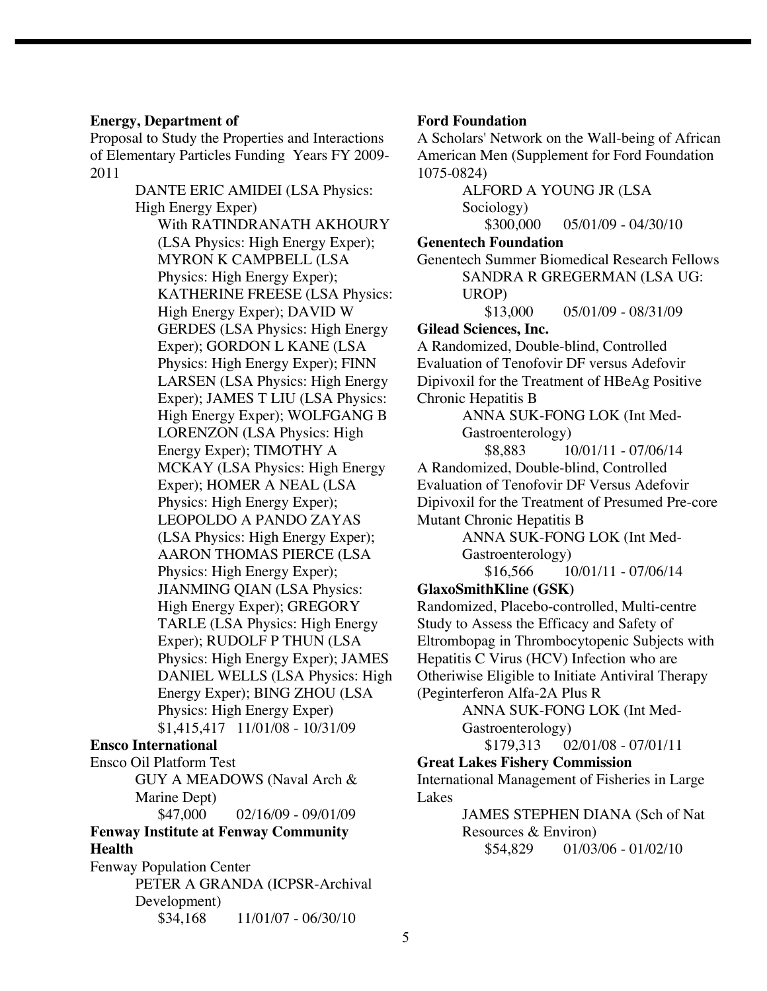### **Energy, Department of**

Proposal to Study the Properties and Interactions of Elementary Particles Funding Years FY 2009- 2011

> DANTE ERIC AMIDEI (LSA Physics: High Energy Exper) With RATINDRANATH AKHOURY (LSA Physics: High Energy Exper); MYRON K CAMPBELL (LSA Physics: High Energy Exper); KATHERINE FREESE (LSA Physics: High Energy Exper); DAVID W GERDES (LSA Physics: High Energy Exper); GORDON L KANE (LSA Physics: High Energy Exper); FINN LARSEN (LSA Physics: High Energy Exper); JAMES T LIU (LSA Physics: High Energy Exper); WOLFGANG B LORENZON (LSA Physics: High Energy Exper); TIMOTHY A MCKAY (LSA Physics: High Energy Exper); HOMER A NEAL (LSA Physics: High Energy Exper); LEOPOLDO A PANDO ZAYAS (LSA Physics: High Energy Exper); AARON THOMAS PIERCE (LSA Physics: High Energy Exper); JIANMING QIAN (LSA Physics: High Energy Exper); GREGORY TARLE (LSA Physics: High Energy Exper); RUDOLF P THUN (LSA Physics: High Energy Exper); JAMES DANIEL WELLS (LSA Physics: High Energy Exper); BING ZHOU (LSA Physics: High Energy Exper) \$1,415,417 11/01/08 - 10/31/09

## **Ensco International**

Ensco Oil Platform Test GUY A MEADOWS (Naval Arch & Marine Dept)  $$47,000$  02/16/09 - 09/01/09

**Fenway Institute at Fenway Community Health**

Fenway Population Center PETER A GRANDA (ICPSR-Archival Development) \$34,168 11/01/07 - 06/30/10

# **Ford Foundation**

A Scholars' Network on the Wall-being of African American Men (Supplement for Ford Foundation 1075-0824)

ALFORD A YOUNG JR (LSA Sociology) \$300,000 05/01/09 - 04/30/10 **Genentech Foundation** Genentech Summer Biomedical Research Fellows SANDRA R GREGERMAN (LSA UG: UROP)  $$13,000$  05/01/09 - 08/31/09 **Gilead Sciences, Inc.** A Randomized, Double-blind, Controlled Evaluation of Tenofovir DF versus Adefovir Dipivoxil for the Treatment of HBeAg Positive Chronic Hepatitis B ANNA SUK-FONG LOK (Int Med-Gastroenterology)  $$8,883$  10/01/11 - 07/06/14 A Randomized, Double-blind, Controlled

Evaluation of Tenofovir DF Versus Adefovir Dipivoxil for the Treatment of Presumed Pre-core Mutant Chronic Hepatitis B

> ANNA SUK-FONG LOK (Int Med-Gastroenterology)

 $$16,566$   $10/01/11 - 07/06/14$ 

# **GlaxoSmithKline (GSK)**

Randomized, Placebo-controlled, Multi-centre Study to Assess the Efficacy and Safety of Eltrombopag in Thrombocytopenic Subjects with Hepatitis C Virus (HCV) Infection who are Otheriwise Eligible to Initiate Antiviral Therapy (Peginterferon Alfa-2A Plus R

> ANNA SUK-FONG LOK (Int Med-Gastroenterology)

\$179,313 02/01/08 - 07/01/11

**Great Lakes Fishery Commission**

International Management of Fisheries in Large Lakes

> JAMES STEPHEN DIANA (Sch of Nat Resources & Environ) \$54,829 01/03/06 - 01/02/10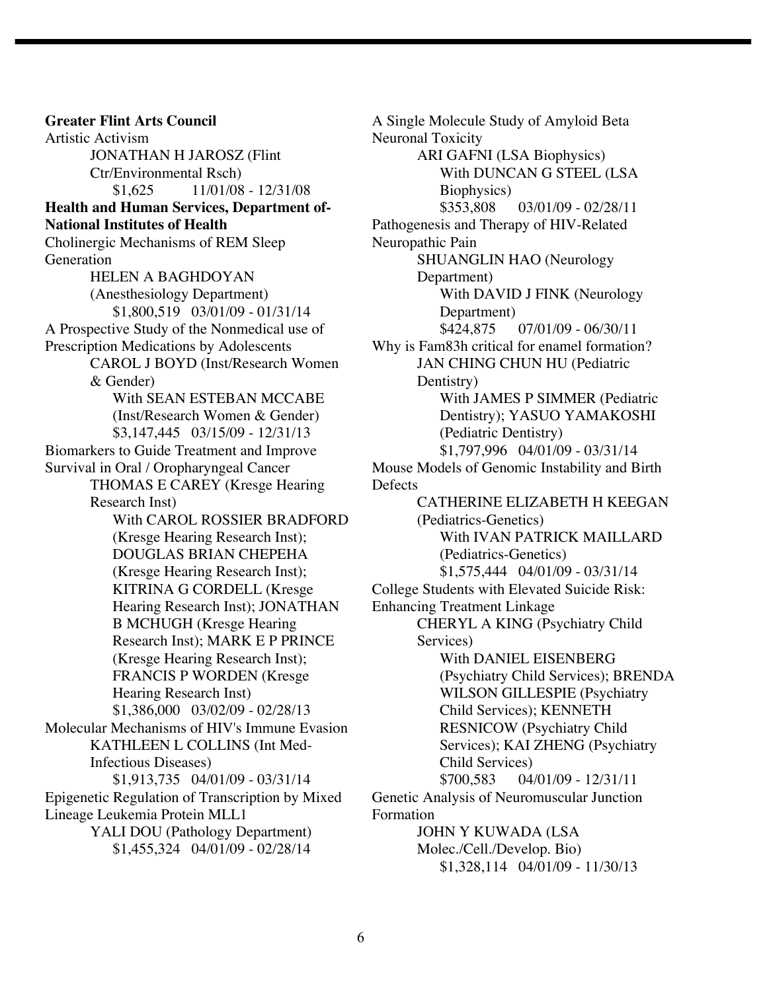**Greater Flint Arts Council** Artistic Activism JONATHAN H JAROSZ (Flint Ctr/Environmental Rsch)  $$1,625$   $11/01/08 - 12/31/08$ **Health and Human Services, Department of-National Institutes of Health** Cholinergic Mechanisms of REM Sleep **Generation** HELEN A BAGHDOYAN (Anesthesiology Department) \$1,800,519 03/01/09 - 01/31/14 A Prospective Study of the Nonmedical use of Prescription Medications by Adolescents CAROL J BOYD (Inst/Research Women & Gender) With SEAN ESTEBAN MCCABE (Inst/Research Women & Gender) \$3,147,445 03/15/09 - 12/31/13 Biomarkers to Guide Treatment and Improve Survival in Oral / Oropharyngeal Cancer THOMAS E CAREY (Kresge Hearing Research Inst) With CAROL ROSSIER BRADFORD (Kresge Hearing Research Inst); DOUGLAS BRIAN CHEPEHA (Kresge Hearing Research Inst); KITRINA G CORDELL (Kresge Hearing Research Inst); JONATHAN B MCHUGH (Kresge Hearing Research Inst); MARK E P PRINCE (Kresge Hearing Research Inst); FRANCIS P WORDEN (Kresge Hearing Research Inst) \$1,386,000 03/02/09 - 02/28/13 Molecular Mechanisms of HIV's Immune Evasion KATHLEEN L COLLINS (Int Med-Infectious Diseases) \$1,913,735 04/01/09 - 03/31/14 Epigenetic Regulation of Transcription by Mixed Lineage Leukemia Protein MLL1 YALI DOU (Pathology Department) \$1,455,324 04/01/09 - 02/28/14

A Single Molecule Study of Amyloid Beta Neuronal Toxicity ARI GAFNI (LSA Biophysics) With DUNCAN G STEEL (LSA Biophysics) \$353,808 03/01/09 - 02/28/11 Pathogenesis and Therapy of HIV-Related Neuropathic Pain SHUANGLIN HAO (Neurology Department) With DAVID J FINK (Neurology Department)<br>\$424,875 07/01/09 - 06/30/11 Why is Fam83h critical for enamel formation? JAN CHING CHUN HU (Pediatric Dentistry) With JAMES P SIMMER (Pediatric Dentistry); YASUO YAMAKOSHI (Pediatric Dentistry) \$1,797,996 04/01/09 - 03/31/14 Mouse Models of Genomic Instability and Birth **Defects** CATHERINE ELIZABETH H KEEGAN (Pediatrics-Genetics) With IVAN PATRICK MAILLARD (Pediatrics-Genetics) \$1,575,444 04/01/09 - 03/31/14 College Students with Elevated Suicide Risk: Enhancing Treatment Linkage CHERYL A KING (Psychiatry Child Services) With DANIEL EISENBERG (Psychiatry Child Services); BRENDA WILSON GILLESPIE (Psychiatry Child Services); KENNETH RESNICOW (Psychiatry Child Services); KAI ZHENG (Psychiatry Child Services) \$700,583 04/01/09 - 12/31/11 Genetic Analysis of Neuromuscular Junction Formation JOHN Y KUWADA (LSA Molec./Cell./Develop. Bio) \$1,328,114 04/01/09 - 11/30/13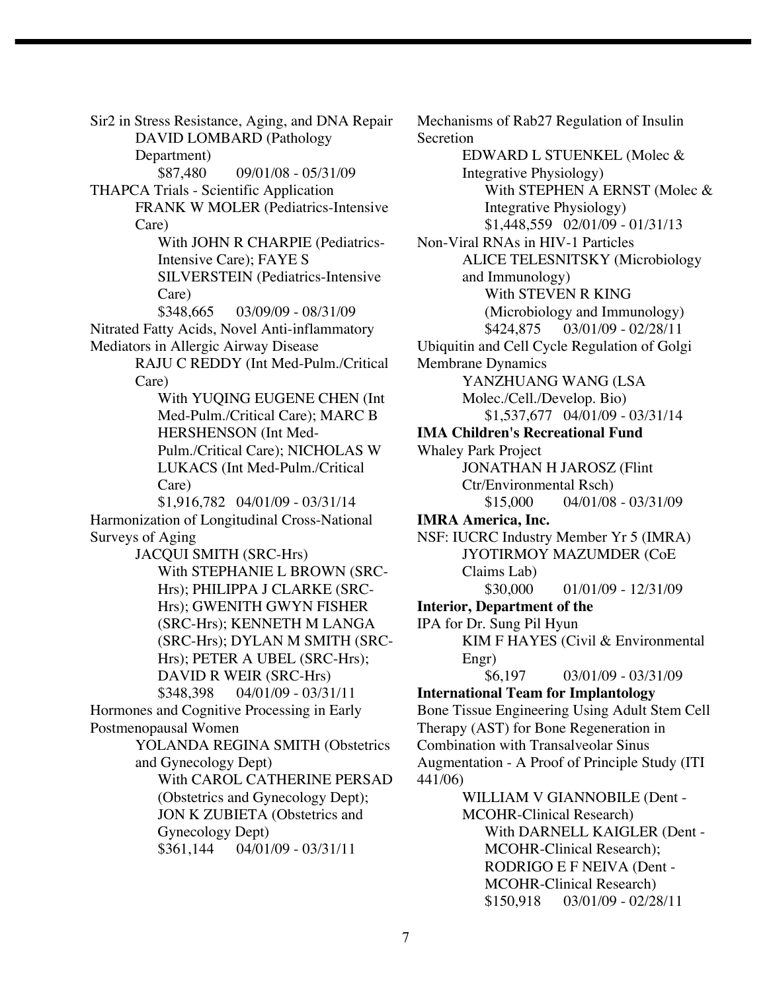Sir2 in Stress Resistance, Aging, and DNA Repair DAVID LOMBARD (Pathology Department) \$87,480 09/01/08 - 05/31/09 THAPCA Trials - Scientific Application FRANK W MOLER (Pediatrics-Intensive Care) With JOHN R CHARPIE (Pediatrics-Intensive Care); FAYE S SILVERSTEIN (Pediatrics-Intensive Care) \$348,665 03/09/09 - 08/31/09 Nitrated Fatty Acids, Novel Anti-inflammatory Mediators in Allergic Airway Disease RAJU C REDDY (Int Med-Pulm./Critical Care) With YUQING EUGENE CHEN (Int Med-Pulm./Critical Care); MARC B HERSHENSON (Int Med-Pulm./Critical Care); NICHOLAS W LUKACS (Int Med-Pulm./Critical Care) \$1,916,782 04/01/09 - 03/31/14 Harmonization of Longitudinal Cross-National Surveys of Aging JACQUI SMITH (SRC-Hrs) With STEPHANIE L BROWN (SRC-Hrs); PHILIPPA J CLARKE (SRC-Hrs); GWENITH GWYN FISHER (SRC-Hrs); KENNETH M LANGA (SRC-Hrs); DYLAN M SMITH (SRC-Hrs); PETER A UBEL (SRC-Hrs); DAVID R WEIR (SRC-Hrs) \$348,398 04/01/09 - 03/31/11 Hormones and Cognitive Processing in Early Postmenopausal Women YOLANDA REGINA SMITH (Obstetrics and Gynecology Dept) With CAROL CATHERINE PERSAD (Obstetrics and Gynecology Dept); JON K ZUBIETA (Obstetrics and Gynecology Dept) \$361,144 04/01/09 - 03/31/11

Mechanisms of Rab27 Regulation of Insulin Secretion EDWARD L STUENKEL (Molec & Integrative Physiology) With STEPHEN A ERNST (Molec & Integrative Physiology) \$1,448,559 02/01/09 - 01/31/13 Non-Viral RNAs in HIV-1 Particles ALICE TELESNITSKY (Microbiology and Immunology) With STEVEN R KING (Microbiology and Immunology) \$424,875 03/01/09 - 02/28/11 Ubiquitin and Cell Cycle Regulation of Golgi Membrane Dynamics YANZHUANG WANG (LSA Molec./Cell./Develop. Bio) \$1,537,677 04/01/09 - 03/31/14 **IMA Children's Recreational Fund** Whaley Park Project JONATHAN H JAROSZ (Flint Ctr/Environmental Rsch)  $$15,000$  04/01/08 - 03/31/09 **IMRA America, Inc.** NSF: IUCRC Industry Member Yr 5 (IMRA) JYOTIRMOY MAZUMDER (CoE Claims Lab) \$30,000 01/01/09 - 12/31/09 **Interior, Department of the** IPA for Dr. Sung Pil Hyun KIM F HAYES (Civil & Environmental Engr) \$6,197 03/01/09 - 03/31/09 **International Team for Implantology** Bone Tissue Engineering Using Adult Stem Cell Therapy (AST) for Bone Regeneration in Combination with Transalveolar Sinus Augmentation - A Proof of Principle Study (ITI 441/06) WILLIAM V GIANNOBILE (Dent - MCOHR-Clinical Research) With DARNELL KAIGLER (Dent - MCOHR-Clinical Research); RODRIGO E F NEIVA (Dent - MCOHR-Clinical Research)

\$150,918 03/01/09 - 02/28/11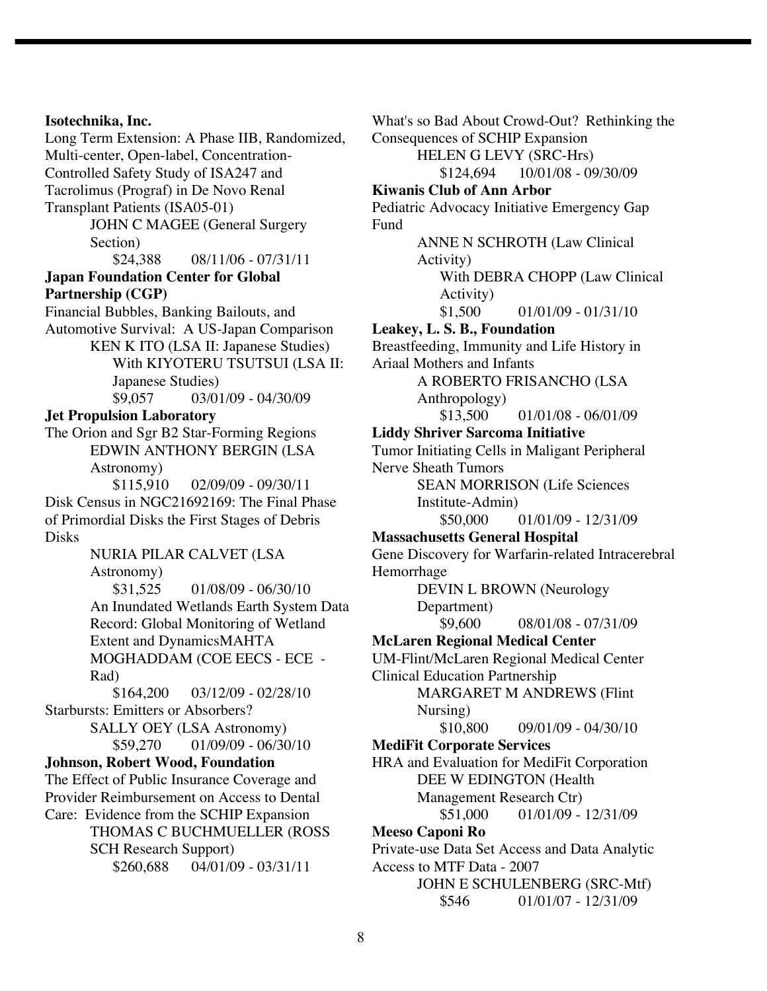### **Isotechnika, Inc.**

Long Term Extension: A Phase IIB, Randomized, Multi-center, Open-label, Concentration-Controlled Safety Study of ISA247 and Tacrolimus (Prograf) in De Novo Renal Transplant Patients (ISA05-01) JOHN C MAGEE (General Surgery Section)  $$24.388$  08/11/06 - 07/31/11 **Japan Foundation Center for Global Partnership (CGP)** Financial Bubbles, Banking Bailouts, and Automotive Survival: A US-Japan Comparison KEN K ITO (LSA II: Japanese Studies) With KIYOTERU TSUTSUI (LSA II: Japanese Studies) \$9,057 03/01/09 - 04/30/09 **Jet Propulsion Laboratory** The Orion and Sgr B2 Star-Forming Regions EDWIN ANTHONY BERGIN (LSA Astronomy) \$115,910 02/09/09 - 09/30/11 Disk Census in NGC21692169: The Final Phase of Primordial Disks the First Stages of Debris Disks NURIA PILAR CALVET (LSA Astronomy) \$31,525 01/08/09 - 06/30/10 An Inundated Wetlands Earth System Data Record: Global Monitoring of Wetland Extent and DynamicsMAHTA MOGHADDAM (COE EECS - ECE - Rad) \$164,200 03/12/09 - 02/28/10 Starbursts: Emitters or Absorbers? SALLY OEY (LSA Astronomy)  $$59,270$  01/09/09 - 06/30/10 **Johnson, Robert Wood, Foundation** The Effect of Public Insurance Coverage and Provider Reimbursement on Access to Dental Care: Evidence from the SCHIP Expansion THOMAS C BUCHMUELLER (ROSS SCH Research Support) \$260,688 04/01/09 - 03/31/11

What's so Bad About Crowd-Out? Rethinking the Consequences of SCHIP Expansion HELEN G LEVY (SRC-Hrs) \$124,694 10/01/08 - 09/30/09 **Kiwanis Club of Ann Arbor** Pediatric Advocacy Initiative Emergency Gap Fund ANNE N SCHROTH (Law Clinical Activity) With DEBRA CHOPP (Law Clinical Activity)  $$1,500$  01/01/09 - 01/31/10 **Leakey, L. S. B., Foundation** Breastfeeding, Immunity and Life History in Ariaal Mothers and Infants A ROBERTO FRISANCHO (LSA Anthropology)  $$13,500$  01/01/08 - 06/01/09 **Liddy Shriver Sarcoma Initiative** Tumor Initiating Cells in Maligant Peripheral Nerve Sheath Tumors SEAN MORRISON (Life Sciences Institute-Admin) \$50,000 01/01/09 - 12/31/09 **Massachusetts General Hospital** Gene Discovery for Warfarin-related Intracerebral Hemorrhage DEVIN L BROWN (Neurology Department) \$9,600 08/01/08 - 07/31/09 **McLaren Regional Medical Center** UM-Flint/McLaren Regional Medical Center Clinical Education Partnership MARGARET M ANDREWS (Flint Nursing)  $$10,800$  09/01/09 - 04/30/10 **MediFit Corporate Services** HRA and Evaluation for MediFit Corporation DEE W EDINGTON (Health Management Research Ctr)  $$51,000$  01/01/09 - 12/31/09 **Meeso Caponi Ro** Private-use Data Set Access and Data Analytic Access to MTF Data - 2007 JOHN E SCHULENBERG (SRC-Mtf) \$546 01/01/07 - 12/31/09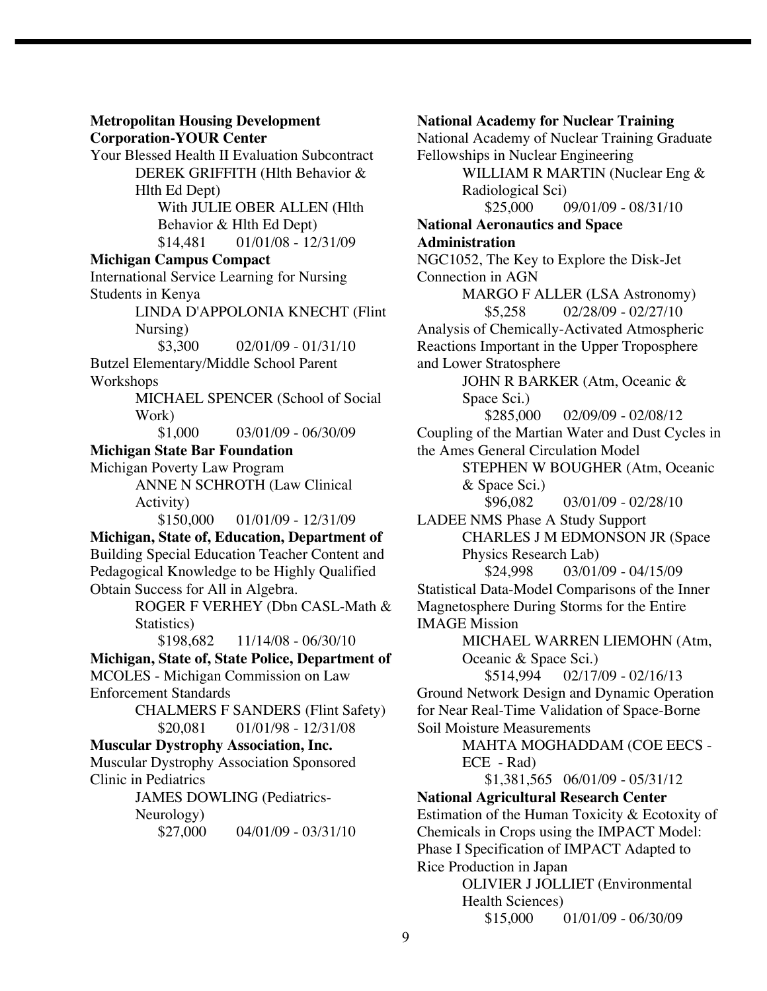**Metropolitan Housing Development Corporation-YOUR Center**

Your Blessed Health II Evaluation Subcontract DEREK GRIFFITH (Hlth Behavior & Hlth Ed Dept) With JULIE OBER ALLEN (Hlth

Behavior & Hlth Ed Dept) \$14,481 01/01/08 - 12/31/09

# **Michigan Campus Compact**

International Service Learning for Nursing Students in Kenya

> LINDA D'APPOLONIA KNECHT (Flint Nursing)

 $$3,300$  02/01/09 - 01/31/10

Butzel Elementary/Middle School Parent Workshops

> MICHAEL SPENCER (School of Social Work)

> > \$1,000 03/01/09 - 06/30/09

# **Michigan State Bar Foundation**

Michigan Poverty Law Program

ANNE N SCHROTH (Law Clinical Activity)

\$150,000 01/01/09 - 12/31/09

**Michigan, State of, Education, Department of** Building Special Education Teacher Content and Pedagogical Knowledge to be Highly Qualified Obtain Success for All in Algebra.

> ROGER F VERHEY (Dbn CASL-Math & Statistics)

\$198,682 11/14/08 - 06/30/10

**Michigan, State of, State Police, Department of** MCOLES - Michigan Commission on Law

Enforcement Standards

CHALMERS F SANDERS (Flint Safety) \$20,081 01/01/98 - 12/31/08

# **Muscular Dystrophy Association, Inc.**

Muscular Dystrophy Association Sponsored Clinic in Pediatrics

JAMES DOWLING (Pediatrics-

Neurology)

 $$27,000$  04/01/09 - 03/31/10

**National Academy for Nuclear Training** National Academy of Nuclear Training Graduate Fellowships in Nuclear Engineering WILLIAM R MARTIN (Nuclear Eng & Radiological Sci)  $$25,000$  09/01/09 - 08/31/10 **National Aeronautics and Space Administration** NGC1052, The Key to Explore the Disk-Jet Connection in AGN MARGO F ALLER (LSA Astronomy)  $$5,258$  02/28/09 - 02/27/10 Analysis of Chemically-Activated Atmospheric Reactions Important in the Upper Troposphere and Lower Stratosphere JOHN R BARKER (Atm, Oceanic & Space Sci.) \$285,000 02/09/09 - 02/08/12 Coupling of the Martian Water and Dust Cycles in the Ames General Circulation Model STEPHEN W BOUGHER (Atm, Oceanic & Space Sci.) \$96,082 03/01/09 - 02/28/10 LADEE NMS Phase A Study Support CHARLES J M EDMONSON JR (Space Physics Research Lab) \$24,998 03/01/09 - 04/15/09 Statistical Data-Model Comparisons of the Inner Magnetosphere During Storms for the Entire

IMAGE Mission

MICHAEL WARREN LIEMOHN (Atm, Oceanic & Space Sci.)

\$514,994 02/17/09 - 02/16/13 Ground Network Design and Dynamic Operation for Near Real-Time Validation of Space-Borne Soil Moisture Measurements

> MAHTA MOGHADDAM (COE EECS - ECE - Rad)

\$1,381,565 06/01/09 - 05/31/12

**National Agricultural Research Center** Estimation of the Human Toxicity & Ecotoxity of Chemicals in Crops using the IMPACT Model: Phase I Specification of IMPACT Adapted to Rice Production in Japan OLIVIER J JOLLIET (Environmental Health Sciences)

 $$15,000$  01/01/09 - 06/30/09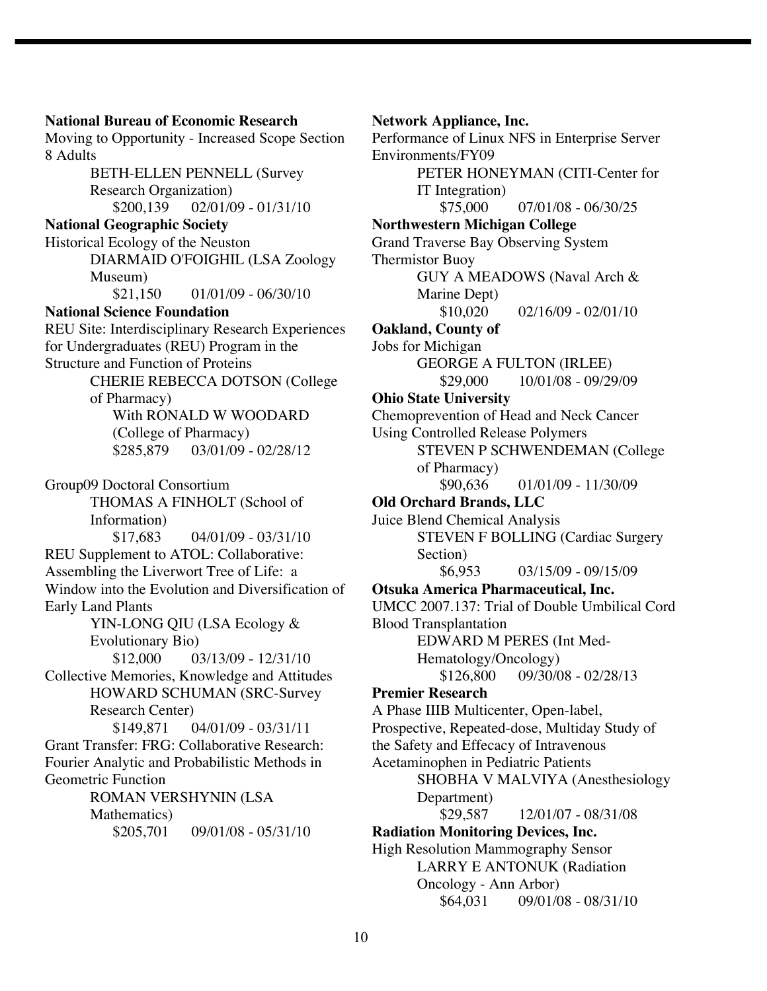**National Bureau of Economic Research** Moving to Opportunity - Increased Scope Section 8 Adults BETH-ELLEN PENNELL (Survey Research Organization) \$200,139 02/01/09 - 01/31/10 **National Geographic Society** Historical Ecology of the Neuston DIARMAID O'FOIGHIL (LSA Zoology Museum) \$21,150 01/01/09 - 06/30/10 **National Science Foundation** REU Site: Interdisciplinary Research Experiences for Undergraduates (REU) Program in the Structure and Function of Proteins CHERIE REBECCA DOTSON (College of Pharmacy) With RONALD W WOODARD (College of Pharmacy) \$285,879 03/01/09 - 02/28/12 Group09 Doctoral Consortium THOMAS A FINHOLT (School of Information)  $$17,683$  04/01/09 - 03/31/10 REU Supplement to ATOL: Collaborative: Assembling the Liverwort Tree of Life: a Window into the Evolution and Diversification of Early Land Plants YIN-LONG QIU (LSA Ecology & Evolutionary Bio)  $$12,000$  03/13/09 - 12/31/10 Collective Memories, Knowledge and Attitudes HOWARD SCHUMAN (SRC-Survey Research Center) \$149,871 04/01/09 - 03/31/11 Grant Transfer: FRG: Collaborative Research: Fourier Analytic and Probabilistic Methods in Geometric Function ROMAN VERSHYNIN (LSA Mathematics) \$205,701 09/01/08 - 05/31/10

**Network Appliance, Inc.** Performance of Linux NFS in Enterprise Server Environments/FY09 PETER HONEYMAN (CITI-Center for IT Integration)  $$75,000$  07/01/08 - 06/30/25 **Northwestern Michigan College** Grand Traverse Bay Observing System Thermistor Buoy GUY A MEADOWS (Naval Arch & Marine Dept)  $$10,020$  02/16/09 - 02/01/10 **Oakland, County of** Jobs for Michigan GEORGE A FULTON (IRLEE) \$29,000 10/01/08 - 09/29/09 **Ohio State University** Chemoprevention of Head and Neck Cancer Using Controlled Release Polymers STEVEN P SCHWENDEMAN (College of Pharmacy) \$90,636 01/01/09 - 11/30/09 **Old Orchard Brands, LLC** Juice Blend Chemical Analysis STEVEN F BOLLING (Cardiac Surgery Section) \$6,953 03/15/09 - 09/15/09 **Otsuka America Pharmaceutical, Inc.** UMCC 2007.137: Trial of Double Umbilical Cord Blood Transplantation EDWARD M PERES (Int Med-Hematology/Oncology)  $$126,800$  09/30/08 - 02/28/13 **Premier Research** A Phase IIIB Multicenter, Open-label, Prospective, Repeated-dose, Multiday Study of the Safety and Effecacy of Intravenous Acetaminophen in Pediatric Patients SHOBHA V MALVIYA (Anesthesiology Department) \$29,587 12/01/07 - 08/31/08 **Radiation Monitoring Devices, Inc.** High Resolution Mammography Sensor LARRY E ANTONUK (Radiation Oncology - Ann Arbor)

\$64,031 09/01/08 - 08/31/10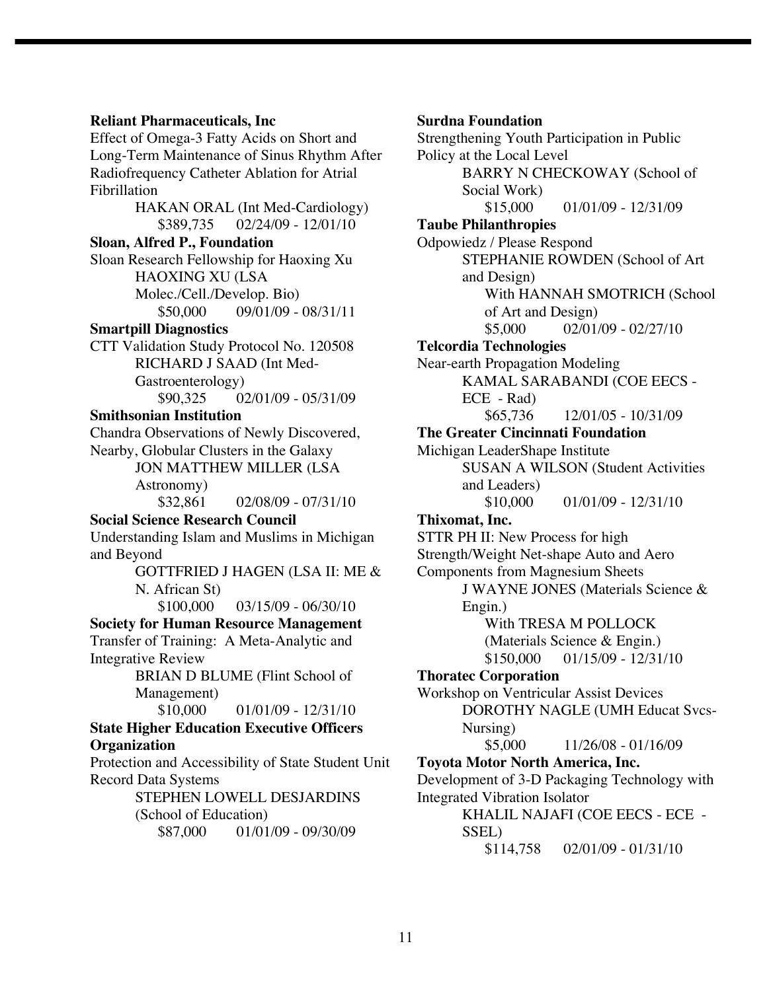#### **Reliant Pharmaceuticals, Inc**

Effect of Omega-3 Fatty Acids on Short and Long-Term Maintenance of Sinus Rhythm After Radiofrequency Catheter Ablation for Atrial Fibrillation HAKAN ORAL (Int Med-Cardiology)

\$389,735 02/24/09 - 12/01/10 **Sloan, Alfred P., Foundation** Sloan Research Fellowship for Haoxing Xu HAOXING XU (LSA Molec./Cell./Develop. Bio)

# $$50,000$  09/01/09 - 08/31/11

# **Smartpill Diagnostics**

CTT Validation Study Protocol No. 120508 RICHARD J SAAD (Int Med-Gastroenterology) \$90,325 02/01/09 - 05/31/09

#### **Smithsonian Institution**

Chandra Observations of Newly Discovered, Nearby, Globular Clusters in the Galaxy

JON MATTHEW MILLER (LSA Astronomy)  $$32,861$  02/08/09 - 07/31/10

#### **Social Science Research Council**

Understanding Islam and Muslims in Michigan and Beyond

GOTTFRIED J HAGEN (LSA II: ME & N. African St)

 $$100,000$  03/15/09 - 06/30/10

**Society for Human Resource Management** Transfer of Training: A Meta-Analytic and Integrative Review

BRIAN D BLUME (Flint School of Management)

 $$10,000$  01/01/09 - 12/31/10

# **State Higher Education Executive Officers Organization**

Protection and Accessibility of State Student Unit Record Data Systems

> STEPHEN LOWELL DESJARDINS (School of Education) \$87,000 01/01/09 - 09/30/09

#### **Surdna Foundation**

Strengthening Youth Participation in Public Policy at the Local Level BARRY N CHECKOWAY (School of Social Work)  $$15,000$  01/01/09 - 12/31/09 **Taube Philanthropies** Odpowiedz / Please Respond STEPHANIE ROWDEN (School of Art and Design) With HANNAH SMOTRICH (School of Art and Design)  $$5,000$  02/01/09 - 02/27/10 **Telcordia Technologies** Near-earth Propagation Modeling KAMAL SARABANDI (COE EECS - ECE - Rad)  $$65,736$  12/01/05 - 10/31/09 **The Greater Cincinnati Foundation** Michigan LeaderShape Institute SUSAN A WILSON (Student Activities and Leaders)  $$10,000$  01/01/09 - 12/31/10 **Thixomat, Inc.** STTR PH II: New Process for high Strength/Weight Net-shape Auto and Aero Components from Magnesium Sheets J WAYNE JONES (Materials Science & Engin.) With TRESA M POLLOCK (Materials Science & Engin.) \$150,000 01/15/09 - 12/31/10 **Thoratec Corporation** Workshop on Ventricular Assist Devices DOROTHY NAGLE (UMH Educat Svcs-Nursing)  $$5,000$  11/26/08 - 01/16/09 **Toyota Motor North America, Inc.** Development of 3-D Packaging Technology with Integrated Vibration Isolator KHALIL NAJAFI (COE EECS - ECE - SSEL) \$114,758 02/01/09 - 01/31/10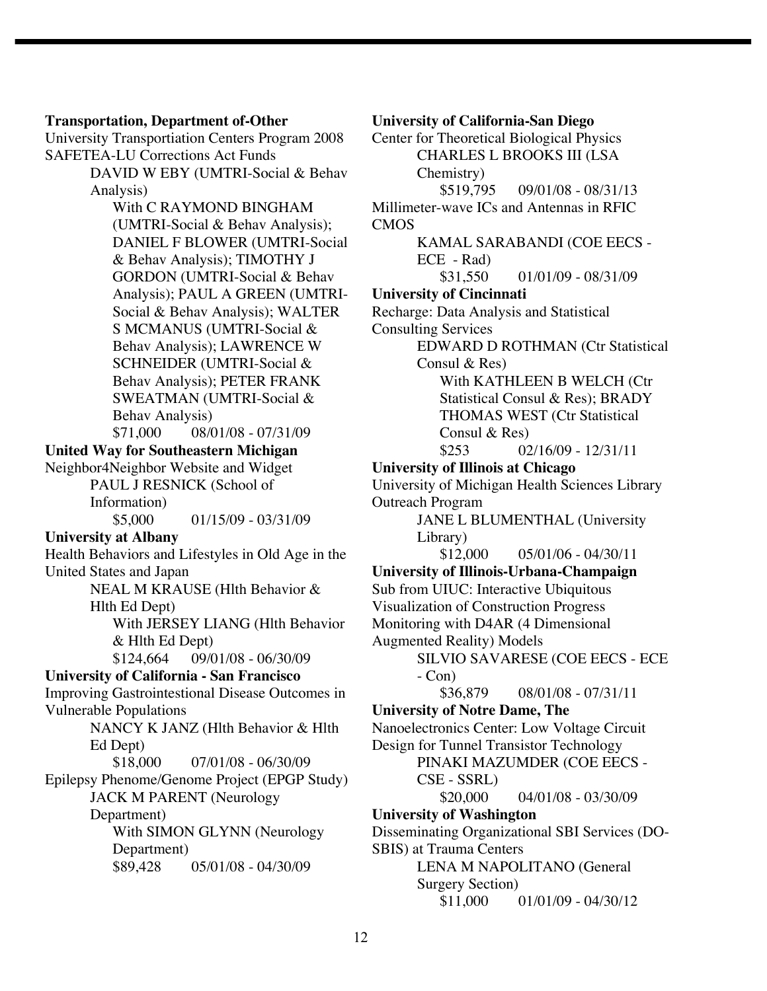#### **Transportation, Department of-Other**

University Transportiation Centers Program 2008 SAFETEA-LU Corrections Act Funds

> DAVID W EBY (UMTRI-Social & Behav Analysis)

With C RAYMOND BINGHAM (UMTRI-Social & Behav Analysis); DANIEL F BLOWER (UMTRI-Social & Behav Analysis); TIMOTHY J GORDON (UMTRI-Social & Behav Analysis); PAUL A GREEN (UMTRI-Social & Behav Analysis); WALTER S MCMANUS (UMTRI-Social & Behav Analysis); LAWRENCE W SCHNEIDER (UMTRI-Social & Behav Analysis); PETER FRANK SWEATMAN (UMTRI-Social & Behav Analysis) \$71,000 08/01/08 - 07/31/09

# **United Way for Southeastern Michigan**

Neighbor4Neighbor Website and Widget PAUL J RESNICK (School of Information)  $$5,000$  01/15/09 - 03/31/09

# **University at Albany**

Health Behaviors and Lifestyles in Old Age in the United States and Japan NEAL M KRAUSE (Hlth Behavior &

Hlth Ed Dept)

With JERSEY LIANG (Hlth Behavior & Hlth Ed Dept)

\$124,664 09/01/08 - 06/30/09

# **University of California - San Francisco**

Improving Gastrointestional Disease Outcomes in Vulnerable Populations

> NANCY K JANZ (Hlth Behavior & Hlth Ed Dept)

\$18,000 07/01/08 - 06/30/09

Epilepsy Phenome/Genome Project (EPGP Study)

JACK M PARENT (Neurology

Department)

With SIMON GLYNN (Neurology Department) \$89,428 05/01/08 - 04/30/09

# **University of California-San Diego**

Center for Theoretical Biological Physics CHARLES L BROOKS III (LSA Chemistry) \$519,795 09/01/08 - 08/31/13 Millimeter-wave ICs and Antennas in RFIC CMOS KAMAL SARABANDI (COE EECS - ECE - Rad) \$31,550 01/01/09 - 08/31/09 **University of Cincinnati** Recharge: Data Analysis and Statistical Consulting Services EDWARD D ROTHMAN (Ctr Statistical Consul & Res) With KATHLEEN B WELCH (Ctr Statistical Consul & Res); BRADY THOMAS WEST (Ctr Statistical Consul & Res)  $$253$  02/16/09 - 12/31/11 **University of Illinois at Chicago** University of Michigan Health Sciences Library Outreach Program JANE L BLUMENTHAL (University Library)  $$12,000$  05/01/06 - 04/30/11 **University of Illinois-Urbana-Champaign** Sub from UIUC: Interactive Ubiquitous Visualization of Construction Progress Monitoring with D4AR (4 Dimensional Augmented Reality) Models SILVIO SAVARESE (COE EECS - ECE  $-$  Con $)$ \$36,879 08/01/08 - 07/31/11 **University of Notre Dame, The** Nanoelectronics Center: Low Voltage Circuit Design for Tunnel Transistor Technology PINAKI MAZUMDER (COE EECS - CSE - SSRL) \$20,000 04/01/08 - 03/30/09 **University of Washington** Disseminating Organizational SBI Services (DO-SBIS) at Trauma Centers LENA M NAPOLITANO (General Surgery Section)  $$11,000$  01/01/09 - 04/30/12